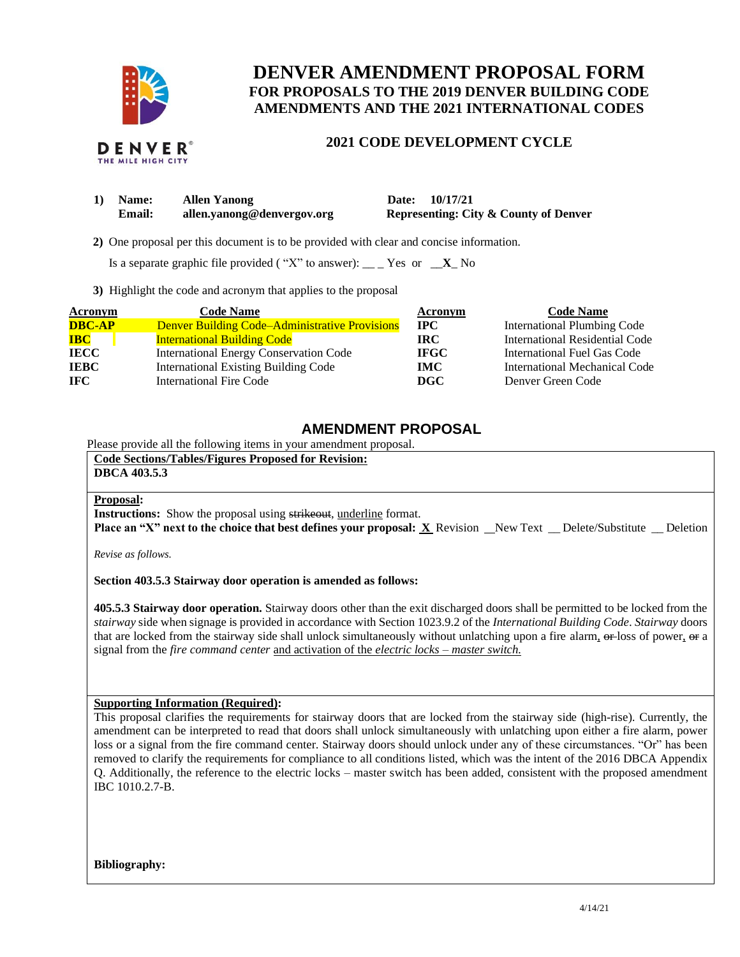

# **DENVER AMENDMENT PROPOSAL FORM FOR PROPOSALS TO THE 2019 DENVER BUILDING CODE AMENDMENTS AND THE 2021 INTERNATIONAL CODES**

## **2021 CODE DEVELOPMENT CYCLE**

| 1) Name: | <b>Allen Yanong</b>        | Date: 10/17/21                                   |
|----------|----------------------------|--------------------------------------------------|
| Email:   | allen.yanong@denvergov.org | <b>Representing: City &amp; County of Denver</b> |

 **2)** One proposal per this document is to be provided with clear and concise information.

Is a separate graphic file provided ("X" to answer): \_\_ \_ Yes or  $\mathbf{X}$  No

**3)** Highlight the code and acronym that applies to the proposal

| Acronym       | <b>Code Name</b>                                      | Acronym     | <b>Code Name</b>                   |
|---------------|-------------------------------------------------------|-------------|------------------------------------|
| <b>DBC-AP</b> | <b>Denver Building Code–Administrative Provisions</b> | <b>IPC</b>  | <b>International Plumbing Code</b> |
| <b>IBC</b>    | <b>International Building Code</b>                    | <b>IRC</b>  | International Residential Code     |
| <b>IECC</b>   | International Energy Conservation Code                | <b>IFGC</b> | International Fuel Gas Code        |
| <b>IEBC</b>   | <b>International Existing Building Code</b>           | IMC.        | International Mechanical Code      |
| <b>IFC</b>    | International Fire Code                               | DGC         | Denver Green Code                  |

### **AMENDMENT PROPOSAL**

Please provide all the following items in your amendment proposal.

| <b>Code Sections/Tables/Figures Proposed for Revision:</b><br><b>DBCA 403.5.3</b>                                                                                                                                       |  |
|-------------------------------------------------------------------------------------------------------------------------------------------------------------------------------------------------------------------------|--|
| <b>Proposal:</b><br><b>Instructions:</b> Show the proposal using strikeout, underline format.<br><b>Place an "X" next to the choice that best defines your proposal: X</b> Revision New Text Delete/Substitute Deletion |  |

*Revise as follows.*

#### **Section 403.5.3 Stairway door operation is amended as follows:**

**405.5.3 Stairway door operation.** Stairway doors other than the exit discharged doors shall be permitted to be locked from the *stairway* side when signage is provided in accordance with Section 1023.9.2 of the *International Building Code*. *Stairway* doors that are locked from the stairway side shall unlock simultaneously without unlatching upon a fire alarm, or loss of power, or a signal from the *fire command center* and activation of the *electric locks – master switch.*

### **Supporting Information (Required):**

This proposal clarifies the requirements for stairway doors that are locked from the stairway side (high-rise). Currently, the amendment can be interpreted to read that doors shall unlock simultaneously with unlatching upon either a fire alarm, power loss or a signal from the fire command center. Stairway doors should unlock under any of these circumstances. "Or" has been removed to clarify the requirements for compliance to all conditions listed, which was the intent of the 2016 DBCA Appendix Q. Additionally, the reference to the electric locks – master switch has been added, consistent with the proposed amendment IBC 1010.2.7-B.

**Bibliography:**